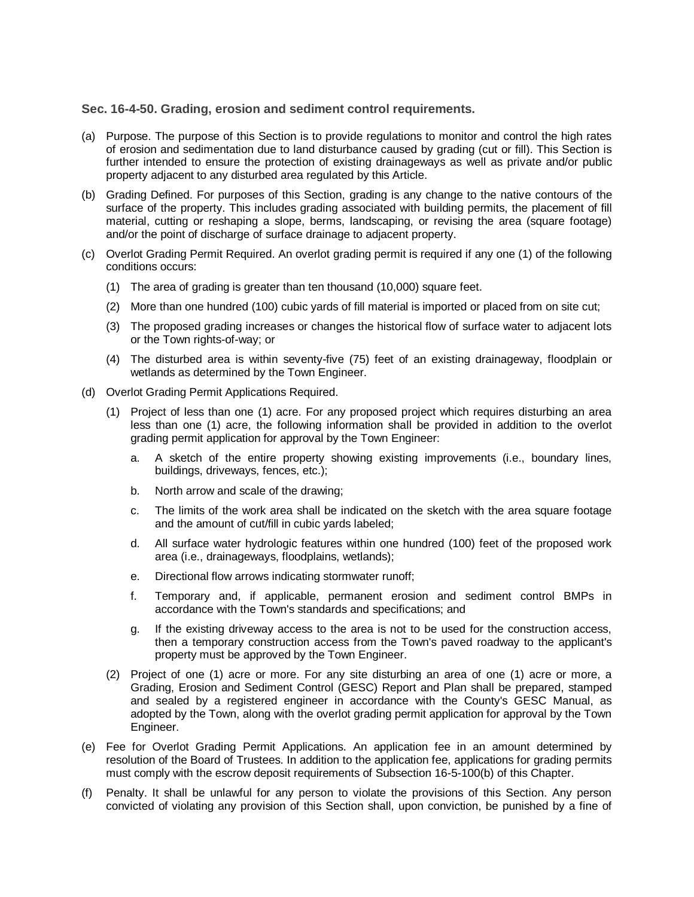## **Sec. 16-4-50. Grading, erosion and sediment control requirements.**

- (a) Purpose. The purpose of this Section is to provide regulations to monitor and control the high rates of erosion and sedimentation due to land disturbance caused by grading (cut or fill). This Section is further intended to ensure the protection of existing drainageways as well as private and/or public property adjacent to any disturbed area regulated by this Article.
- (b) Grading Defined. For purposes of this Section, grading is any change to the native contours of the surface of the property. This includes grading associated with building permits, the placement of fill material, cutting or reshaping a slope, berms, landscaping, or revising the area (square footage) and/or the point of discharge of surface drainage to adjacent property.
- (c) Overlot Grading Permit Required. An overlot grading permit is required if any one (1) of the following conditions occurs:
	- (1) The area of grading is greater than ten thousand (10,000) square feet.
	- (2) More than one hundred (100) cubic yards of fill material is imported or placed from on site cut;
	- (3) The proposed grading increases or changes the historical flow of surface water to adjacent lots or the Town rights-of-way; or
	- (4) The disturbed area is within seventy-five (75) feet of an existing drainageway, floodplain or wetlands as determined by the Town Engineer.
- (d) Overlot Grading Permit Applications Required.
	- (1) Project of less than one (1) acre. For any proposed project which requires disturbing an area less than one (1) acre, the following information shall be provided in addition to the overlot grading permit application for approval by the Town Engineer:
		- a. A sketch of the entire property showing existing improvements (i.e., boundary lines, buildings, driveways, fences, etc.);
		- b. North arrow and scale of the drawing;
		- c. The limits of the work area shall be indicated on the sketch with the area square footage and the amount of cut/fill in cubic yards labeled;
		- d. All surface water hydrologic features within one hundred (100) feet of the proposed work area (i.e., drainageways, floodplains, wetlands);
		- e. Directional flow arrows indicating stormwater runoff;
		- f. Temporary and, if applicable, permanent erosion and sediment control BMPs in accordance with the Town's standards and specifications; and
		- g. If the existing driveway access to the area is not to be used for the construction access, then a temporary construction access from the Town's paved roadway to the applicant's property must be approved by the Town Engineer.
	- (2) Project of one (1) acre or more. For any site disturbing an area of one (1) acre or more, a Grading, Erosion and Sediment Control (GESC) Report and Plan shall be prepared, stamped and sealed by a registered engineer in accordance with the County's GESC Manual, as adopted by the Town, along with the overlot grading permit application for approval by the Town Engineer.
- (e) Fee for Overlot Grading Permit Applications. An application fee in an amount determined by resolution of the Board of Trustees. In addition to the application fee, applications for grading permits must comply with the escrow deposit requirements of Subsection 16-5-100(b) of this Chapter.
- (f) Penalty. It shall be unlawful for any person to violate the provisions of this Section. Any person convicted of violating any provision of this Section shall, upon conviction, be punished by a fine of